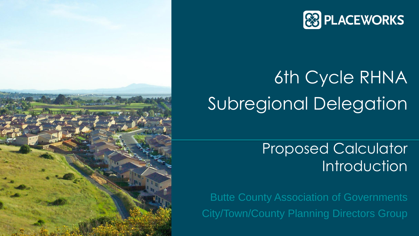

# 6th Cycle RHNA Subregional Delegation

Proposed Calculator Introduction

Butte County Association of Governments City/Town/County Planning Directors Group



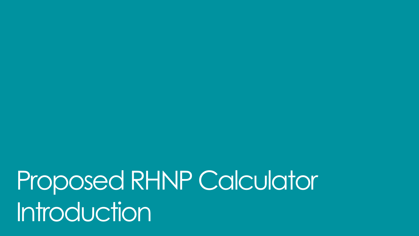Proposed RHNP Calculator Introduction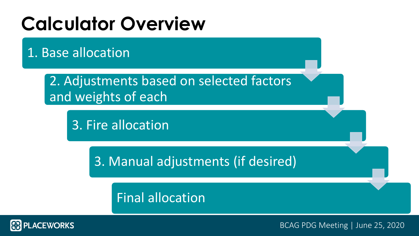# **Calculator Overview**

1. Base allocation

2. Adjustments based on selected factors and weights of each

3. Fire allocation

3. Manual adjustments (if desired)

Final allocation

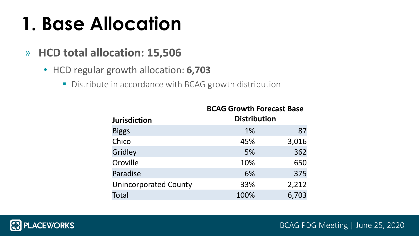- » **HCD total allocation: 15,506**
	- HCD regular growth allocation: **6,703** 
		- **E** Distribute in accordance with BCAG growth distribution

# **1. Base Allocation**

|                              | <b>BCAG Growth Forecast Base</b> |       |
|------------------------------|----------------------------------|-------|
| <b>Jurisdiction</b>          | <b>Distribution</b>              |       |
| <b>Biggs</b>                 | $1\%$                            | 87    |
| Chico                        | 45%                              | 3,016 |
| Gridley                      | 5%                               | 362   |
| Oroville                     | 10%                              | 650   |
| Paradise                     | 6%                               | 375   |
| <b>Unincorporated County</b> | 33%                              | 2,212 |
| Total                        | 100%                             | 6,703 |

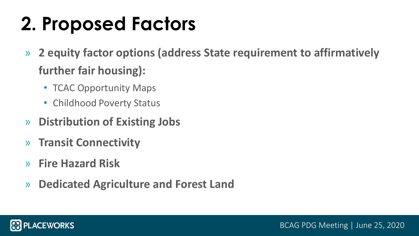# **2. Proposed Factors**

- » **2 equity factor options (address State requirement to affirmatively further fair housing):**
	- TCAC Opportunity Maps
	- Childhood Poverty Status
- » **Distribution of Existing Jobs**
- » **Transit Connectivity**
- » **Fire Hazard Risk**
- » **Dedicated Agriculture and Forest Land**

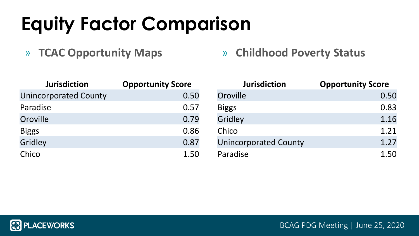# **Equity Factor Comparison**

» **TCAC Opportunity Maps** » **Childhood Poverty Status**

| <b>Jurisdiction</b>          | <b>Opportunity Score</b> | Jurisdiction                 | <b>Opportunity Score</b> |
|------------------------------|--------------------------|------------------------------|--------------------------|
| <b>Unincorporated County</b> | 0.50                     | Oroville                     | 0.50                     |
| Paradise                     | 0.57                     | <b>Biggs</b>                 | 0.83                     |
| Oroville                     | 0.79                     | Gridley                      | 1.16                     |
| <b>Biggs</b>                 | 0.86                     | Chico                        | 1.21                     |
| Gridley                      | 0.87                     | <b>Unincorporated County</b> | 1.27                     |
| Chico                        | 1.50                     | Paradise                     | 1.50                     |





# **Pyportunity Score**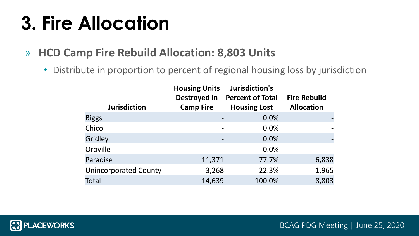# **3. Fire Allocation**

- » **HCD Camp Fire Rebuild Allocation: 8,803 Units**
	- Distribute in proportion to percent of regional housing loss by jurisdiction

|                              | <b>Housing Units</b><br>Destroyed in | Jurisdiction's<br><b>Percent of Total</b> | <b>Fire Rebuild</b> |
|------------------------------|--------------------------------------|-------------------------------------------|---------------------|
| <b>Jurisdiction</b>          | <b>Camp Fire</b>                     | <b>Housing Lost</b>                       | <b>Allocation</b>   |
| <b>Biggs</b>                 |                                      | 0.0%                                      |                     |
| Chico                        |                                      | 0.0%                                      |                     |
| Gridley                      |                                      | 0.0%                                      |                     |
| Oroville                     |                                      | 0.0%                                      |                     |
| Paradise                     | 11,371                               | 77.7%                                     | 6,838               |
| <b>Unincorporated County</b> | 3,268                                | 22.3%                                     | 1,965               |
| Total                        | 14,639                               | 100.0%                                    | 8,803               |



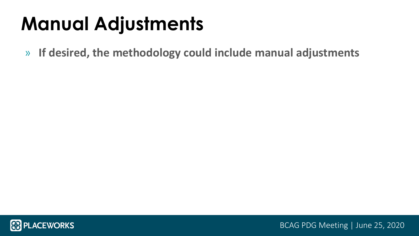# **Manual Adjustments**

» **If desired, the methodology could include manual adjustments**



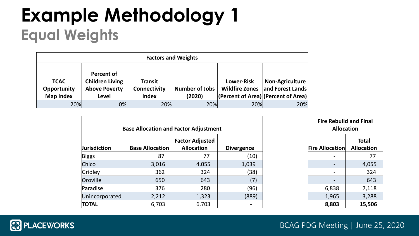# **Example Methodology 1 Equal Weights**

|                                                |                                                                                     |                                                       | <b>Factors and Weights</b>      |                                            |                                                                             |
|------------------------------------------------|-------------------------------------------------------------------------------------|-------------------------------------------------------|---------------------------------|--------------------------------------------|-----------------------------------------------------------------------------|
| <b>TCAC</b><br>Opportunity<br><b>Map Index</b> | <b>Percent of</b><br><b>Children Living</b><br><b>Above Poverty</b><br><b>Level</b> | <b>Transit</b><br><b>Connectivity</b><br><b>Index</b> | <b>Number of Jobs</b><br>(2020) | <b>Lower-Risk</b><br><b>Wildfire Zones</b> | Non-Agriculture<br>and Forest Lands<br> (Percent of Area) (Percent of Area) |
| 20%                                            | 0%                                                                                  | 20%                                                   | 20%                             | 20%                                        | 20%                                                                         |

| <b>Allocation</b>         | <b>Fire Rebuild and Final</b> |
|---------------------------|-------------------------------|
|                           | <b>Total</b>                  |
| Fire Allocation Allocatio |                               |
|                           |                               |
|                           | 4,05                          |
|                           | 32                            |
|                           | 64                            |
| 6,838                     | 7,11                          |
| 1,965                     | 3,28                          |



# **Total Allocation**

|                     |                        | <b>Base Allocation and Factor Adjustment</b> |                   |
|---------------------|------------------------|----------------------------------------------|-------------------|
| <b>Jurisdiction</b> | <b>Base Allocation</b> | <b>Factor Adjusted</b><br><b>Allocation</b>  | <b>Divergence</b> |
| Biggs               | 87                     | 77                                           | (10)              |
| Chico               | 3,016                  | 4,055                                        | 1,039             |
| Gridley             | 362                    | 324                                          | (38)              |
| Oroville            | 650                    | 643                                          | (7)               |
| Paradise            | 376                    | 280                                          | (96)              |
| Unincorporated      | 2,212                  | 1,323                                        | (889)             |
| <b>TOTAL</b>        | 6,703                  | 6,703                                        |                   |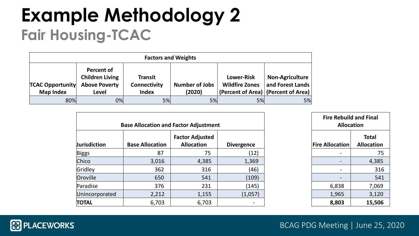## **Example Methodology 2 Fair Housing-TCAC**

|                                             |                                                                       |                                                       | <b>Factors and Weights</b>      |                                            |                                                                                     |
|---------------------------------------------|-----------------------------------------------------------------------|-------------------------------------------------------|---------------------------------|--------------------------------------------|-------------------------------------------------------------------------------------|
| <b>TCAC Opportunity</b><br><b>Map Index</b> | Percent of<br><b>Children Living</b><br><b>Above Poverty</b><br>Level | <b>Transit</b><br><b>Connectivity</b><br><b>Index</b> | <b>Number of Jobs</b><br>(2020) | <b>Lower-Risk</b><br><b>Wildfire Zones</b> | <b>Non-Agriculture</b><br>and Forest Lands<br>(Percent of Area)   (Percent of Area) |
| 80%                                         | 0%                                                                    | 5%                                                    | 5%                              | 5%                                         | 5%                                                                                  |

### **Fire Rebuild and Final Allocation** *<u><b>IFire Allocation*</u> **Total Allocation**

|                     | <b>Base Allocation and Factor Adjustment</b> |                                             |                          | <b>Allocation</b>        | <b>Fire Rebuild and Final</b>     |
|---------------------|----------------------------------------------|---------------------------------------------|--------------------------|--------------------------|-----------------------------------|
| <b>Jurisdiction</b> | <b>Base Allocation</b>                       | <b>Factor Adjusted</b><br><b>Allocation</b> | <b>Divergence</b>        | <b>Fire Allocation</b>   | <b>Total</b><br><b>Allocation</b> |
| Biggs               | 87                                           | 75                                          | (12)                     |                          | 75                                |
| Chico               | 3,016                                        | 4,385                                       | 1,369                    | $\overline{\phantom{a}}$ | 4,385                             |
| Gridley             | 362                                          | 316                                         | (46)                     | $\blacksquare$           | 316                               |
| Oroville            | 650                                          | 541                                         | (109)                    |                          | 541                               |
| Paradise            | 376                                          | 231                                         | (145)                    | 6,838                    | 7,069                             |
| Unincorporated      | 2,212                                        | 1,155                                       | (1,057)                  | 1,965                    | 3,120                             |
| <b>TOTAL</b>        | 6,703                                        | 6,703                                       | $\overline{\phantom{m}}$ | 8,803                    | 15,506                            |



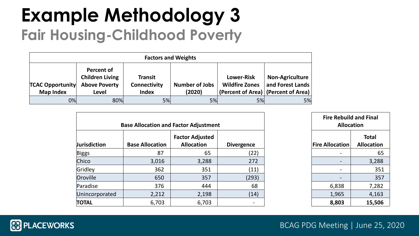# **Example Methodology 3 Fair Housing-Childhood Poverty**

|                                             |                                                                       |                                                       | <b>Factors and Weights</b>      |                                            |                                                                                   |
|---------------------------------------------|-----------------------------------------------------------------------|-------------------------------------------------------|---------------------------------|--------------------------------------------|-----------------------------------------------------------------------------------|
| <b>TCAC Opportunity</b><br><b>Map Index</b> | Percent of<br><b>Children Living</b><br><b>Above Poverty</b><br>Level | <b>Transit</b><br><b>Connectivity</b><br><b>Index</b> | <b>Number of Jobs</b><br>(2020) | <b>Lower-Risk</b><br><b>Wildfire Zones</b> | <b>Non-Agriculture</b><br>and Forest Lands<br>(Percent of Area) (Percent of Area) |
| 0%                                          | 80%                                                                   | 5%                                                    | 5%                              | 5%                                         | 5%                                                                                |

### **Fire Rebuild and Final Allocation** *<u><b>IFire Allocation*</u> **Total Allocation**

|                     | <b>Base Allocation and Factor Adjustment</b> |                                             |                   | <b>Fire Rebuild and Final</b><br><b>Allocation</b>                                                                                                |                                   |
|---------------------|----------------------------------------------|---------------------------------------------|-------------------|---------------------------------------------------------------------------------------------------------------------------------------------------|-----------------------------------|
| <b>Jurisdiction</b> | <b>Base Allocation</b>                       | <b>Factor Adjusted</b><br><b>Allocation</b> | <b>Divergence</b> | <b>Fire Allocation</b>                                                                                                                            | <b>Total</b><br><b>Allocation</b> |
| Biggs               | 87                                           | 65                                          | (22)              |                                                                                                                                                   | 65                                |
| Chico               | 3,016                                        | 3,288                                       | 272               |                                                                                                                                                   | 3,288                             |
| Gridley             | 362                                          | 351                                         | (11)              | $\hskip1.6pt\hskip1.6pt\hskip1.6pt\hskip1.6pt\hskip1.6pt\hskip1.6pt\hskip1.6pt\hskip1.6pt\hskip1.6pt\hskip1.6pt\hskip1.6pt\hskip1.6pt\hskip1.6pt$ | 351                               |
| Oroville            | 650                                          | 357                                         | (293)             |                                                                                                                                                   | 357                               |
| Paradise            | 376                                          | 444                                         | 68                | 6,838                                                                                                                                             | 7,282                             |
| Unincorporated      | 2,212                                        | 2,198                                       | (14)              | 1,965                                                                                                                                             | 4,163                             |
| <b>TOTAL</b>        | 6,703                                        | 6,703                                       | $\blacksquare$    | 8,803                                                                                                                                             | 15,506                            |



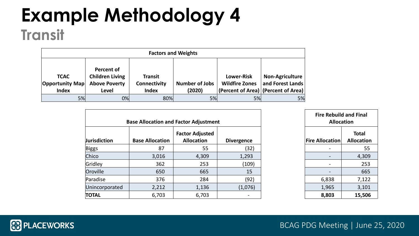## **Example Methodology 4 Transit**

|                                                |                                                                              | <b>Factors and Weights</b>                            |                                 |                                                                                   |                                            |
|------------------------------------------------|------------------------------------------------------------------------------|-------------------------------------------------------|---------------------------------|-----------------------------------------------------------------------------------|--------------------------------------------|
| <b>TCAC</b><br>Opportunity Map<br><b>Index</b> | <b>Percent of</b><br><b>Children Living</b><br><b>Above Poverty</b><br>Level | <b>Transit</b><br><b>Connectivity</b><br><b>Index</b> | <b>Number of Jobs</b><br>(2020) | <b>Lower-Risk</b><br><b>Wildfire Zones</b><br>(Percent of Area) (Percent of Area) | <b>Non-Agriculture</b><br>and Forest Lands |
| 5%                                             | 0%                                                                           | 80%                                                   | 5%                              | 5%                                                                                | 5%                                         |

# **Fire Rebuild and Final Allocation Total Allocation**

|                     | <b>Base Allocation and Factor Adjustment</b> |                                             |                   |
|---------------------|----------------------------------------------|---------------------------------------------|-------------------|
| <b>Jurisdiction</b> | <b>Base Allocation</b>                       | <b>Factor Adjusted</b><br><b>Allocation</b> | <b>Divergence</b> |
| <b>Biggs</b>        | 87                                           | 55                                          | (32)              |
| Chico               | 3,016                                        | 4,309                                       | 1,293             |
| Gridley             | 362                                          | 253                                         | (109)             |
| Oroville            | 650                                          | 665                                         | 15                |
| Paradise            | 376                                          | 284                                         | (92)              |
| Unincorporated      | 2,212                                        | 1,136                                       | (1,076)           |
| <b>TOTAL</b>        | 6,703                                        | 6,703                                       | -                 |

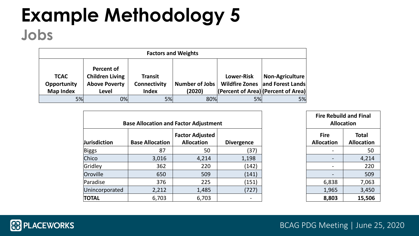### **Example Methodology 5 Jobs**

| <b>Factors and Weights</b>                                                                                              |    |                                                       |                          |                   |                                                                                           |  |  |
|-------------------------------------------------------------------------------------------------------------------------|----|-------------------------------------------------------|--------------------------|-------------------|-------------------------------------------------------------------------------------------|--|--|
| Percent of<br><b>Children Living</b><br><b>TCAC</b><br><b>Above Poverty</b><br>Opportunity<br><b>Map Index</b><br>Level |    | <b>Transit</b><br><b>Connectivity</b><br><b>Index</b> | Number of Jobs<br>(2020) | <b>Lower-Risk</b> | Non-Agriculture<br>Wildfire Zones and Forest Lands<br>(Percent of Area) (Percent of Area) |  |  |
| 5%                                                                                                                      | 0% | 5%                                                    | 80%                      | 5%                | 5%                                                                                        |  |  |

#### **Fire Rebuild and Final Allocation Acation Total Allocation**





|                     | <b>Base Allocation and Factor Adjustment</b> | <b>Fire Rebuild and Final</b><br><b>Allocation</b> |                                                                                                                                                              |                                  |                                   |
|---------------------|----------------------------------------------|----------------------------------------------------|--------------------------------------------------------------------------------------------------------------------------------------------------------------|----------------------------------|-----------------------------------|
| <b>Jurisdiction</b> | <b>Base Allocation</b>                       | <b>Factor Adjusted</b><br><b>Allocation</b>        | <b>Divergence</b>                                                                                                                                            | <b>Fire</b><br><b>Allocation</b> | <b>Total</b><br><b>Allocation</b> |
| Biggs               | 87                                           | 50                                                 | (37)                                                                                                                                                         |                                  | 50                                |
| Chico               | 3,016                                        | 4,214                                              | 1,198                                                                                                                                                        |                                  | 4,214                             |
| Gridley             | 362                                          | 220                                                | (142)                                                                                                                                                        |                                  | 220                               |
| Oroville            | 650                                          | 509                                                | (141)                                                                                                                                                        |                                  | 509                               |
| Paradise            | 376                                          | 225                                                | (151)                                                                                                                                                        | 6,838                            | 7,063                             |
| Unincorporated      | 2,212                                        | 1,485                                              | (727)                                                                                                                                                        | 1,965                            | 3,450                             |
| <b>TOTAL</b>        | 6,703                                        | 6,703                                              | $\hskip1.6pt\hskip1.6pt\hskip1.6pt\hskip1.6pt\hskip1.6pt\hskip1.6pt\hskip1.6pt\hskip1.6pt\hskip1.6pt\hskip1.6pt\hskip1.6pt\hskip1.6pt\hskip1.6pt\hskip1.6pt$ | 8,803                            | 15,506                            |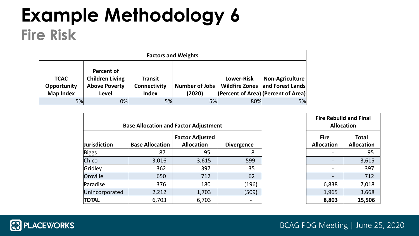## **Example Methodology 6 Fire Risk**

| <b>Factors and Weights</b>                                                                                              |    |                                                       |                          |                   |                                                                                           |  |  |  |
|-------------------------------------------------------------------------------------------------------------------------|----|-------------------------------------------------------|--------------------------|-------------------|-------------------------------------------------------------------------------------------|--|--|--|
| Percent of<br><b>Children Living</b><br><b>TCAC</b><br><b>Above Poverty</b><br>Opportunity<br><b>Map Index</b><br>Level |    | <b>Transit</b><br><b>Connectivity</b><br><b>Index</b> | Number of Jobs<br>(2020) | <b>Lower-Risk</b> | Non-Agriculture<br>Wildfire Zones and Forest Lands<br>(Percent of Area) (Percent of Area) |  |  |  |
| 5%                                                                                                                      | 0% | 5%                                                    | 5%                       | 80%               | 5%                                                                                        |  |  |  |

#### **Fire Rebuild and Final**

| <b>Allocation</b> |                   |  |  |  |  |
|-------------------|-------------------|--|--|--|--|
| e                 | Total             |  |  |  |  |
| tion              | <b>Allocation</b> |  |  |  |  |
|                   | 95                |  |  |  |  |
|                   | 3,615             |  |  |  |  |
|                   | 397               |  |  |  |  |
|                   | 712               |  |  |  |  |
| ,838              | 7,018             |  |  |  |  |
| ,965              | 3,668             |  |  |  |  |
| ,803              | 15,506            |  |  |  |  |





|                     |                        | <b>Base Allocation and Factor Adjustment</b> |                   | <b>Fire Rebuild and Final</b><br><b>Allocation</b> |
|---------------------|------------------------|----------------------------------------------|-------------------|----------------------------------------------------|
| <b>Jurisdiction</b> | <b>Base Allocation</b> | <b>Factor Adjusted</b><br><b>Allocation</b>  | <b>Divergence</b> | <b>Fire</b><br><b>Allocation</b>                   |
| Biggs               | 87                     | 95                                           | 8                 |                                                    |
| Chico               | 3,016                  | 3,615                                        | 599               |                                                    |
| Gridley             | 362                    | 397                                          | 35                |                                                    |
| Oroville            | 650                    | 712                                          | 62                |                                                    |
| Paradise            | 376                    | 180                                          | (196)             | 6,838                                              |
| Unincorporated      | 2,212                  | 1,703                                        | (509)             | 1,965                                              |
| <b>TOTAL</b>        | 6,703                  | 6,703                                        |                   | 8,803                                              |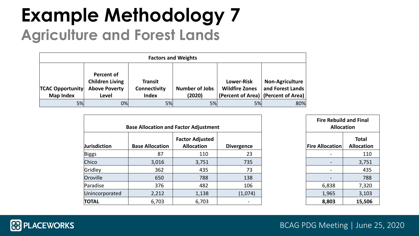## **Example Methodology 7 Agriculture and Forest Lands**

| <b>Factors and Weights</b>                  |                                                                              |                                                |                                 |                                            |                                                                                     |  |  |
|---------------------------------------------|------------------------------------------------------------------------------|------------------------------------------------|---------------------------------|--------------------------------------------|-------------------------------------------------------------------------------------|--|--|
| <b>TCAC Opportunity</b><br><b>Map Index</b> | <b>Percent of</b><br><b>Children Living</b><br><b>Above Poverty</b><br>Level | <b>Transit</b><br>Connectivity<br><b>Index</b> | <b>Number of Jobs</b><br>(2020) | <b>Lower-Risk</b><br><b>Wildfire Zones</b> | <b>Non-Agriculture</b><br>and Forest Lands<br>(Percent of Area)   (Percent of Area) |  |  |
| 5%                                          | 0%                                                                           | 5%                                             | 5%                              | 5%                                         | 80%                                                                                 |  |  |

#### **Fire Rebuild and Final**

| Rebulld and Final<br><b>Allocation</b> |                                   |  |  |  |  |  |
|----------------------------------------|-----------------------------------|--|--|--|--|--|
| cation                                 | <b>Total</b><br><b>Allocation</b> |  |  |  |  |  |
|                                        | 110                               |  |  |  |  |  |
|                                        | 3,751                             |  |  |  |  |  |
|                                        | 435                               |  |  |  |  |  |
|                                        | 788                               |  |  |  |  |  |
| 838                                    | 7,320                             |  |  |  |  |  |
| 965                                    | 3,103                             |  |  |  |  |  |
| 803                                    | 15,506                            |  |  |  |  |  |

|                     |                        | <b>Base Allocation and Factor Adjustment</b> |                   | <b>Allocation</b>      | <b>Fire Rebuild and Final</b> |                                   |
|---------------------|------------------------|----------------------------------------------|-------------------|------------------------|-------------------------------|-----------------------------------|
| <b>Jurisdiction</b> | <b>Base Allocation</b> | <b>Factor Adjusted</b><br><b>Allocation</b>  | <b>Divergence</b> | <b>Fire Allocation</b> |                               | <b>Total</b><br><b>Allocation</b> |
| Biggs               | 87                     | 110                                          | 23                |                        |                               | 110                               |
| Chico               | 3,016                  | 3,751                                        | 735               |                        |                               | 3,751                             |
| Gridley             | 362                    | 435                                          | 73                |                        | $\qquad \qquad \blacksquare$  | 435                               |
| Oroville            | 650                    | 788                                          | 138               |                        |                               | 788                               |
| Paradise            | 376                    | 482                                          | 106               | 6,838                  |                               | 7,320                             |
| Unincorporated      | 2,212                  | 1,138                                        | (1,074)           | 1,965                  |                               | 3,103                             |
| <b>TOTAL</b>        | 6,703                  | 6,703                                        |                   | 8,803                  |                               | 15,506                            |

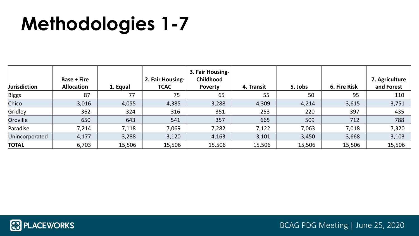# **Methodologies 1-7**

| <b>Jurisdiction</b> | <b>Base + Fire</b><br><b>Allocation</b> | 1. Equal | 2. Fair Housing-<br><b>TCAC</b> | 3. Fair Housing-<br><b>Childhood</b><br><b>Poverty</b> | 4. Transit | 5. Jobs | <b>6. Fire Risk</b> | 7. Agriculture<br>and Forest |
|---------------------|-----------------------------------------|----------|---------------------------------|--------------------------------------------------------|------------|---------|---------------------|------------------------------|
| Biggs               | 87                                      | 77       | 75                              | 65                                                     | 55         | 50      | 95                  | 110                          |
| Chico               | 3,016                                   | 4,055    | 4,385                           | 3,288                                                  | 4,309      | 4,214   | 3,615               | 3,751                        |
| Gridley             | 362                                     | 324      | 316                             | 351                                                    | 253        | 220     | 397                 | 435                          |
| Oroville            | 650                                     | 643      | 541                             | 357                                                    | 665        | 509     | 712                 | 788                          |
| Paradise            | 7,214                                   | 7,118    | 7,069                           | 7,282                                                  | 7,122      | 7,063   | 7,018               | 7,320                        |
| Unincorporated      | 4,177                                   | 3,288    | 3,120                           | 4,163                                                  | 3,101      | 3,450   | 3,668               | 3,103                        |
| <b>TOTAL</b>        | 6,703                                   | 15,506   | 15,506                          | 15,506                                                 | 15,506     | 15,506  | 15,506              | 15,506                       |